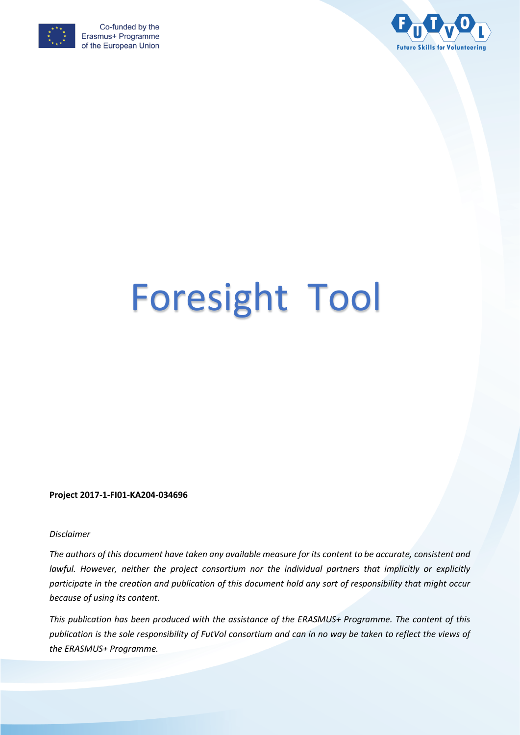



# Foresight Tool

**Project 2017-1-FI01-KA204-034696**

#### *Disclaimer*

*The authors of this document have taken any available measure for its content to be accurate, consistent and*  lawful. However, neither the project consortium nor the individual partners that implicitly or explicitly *participate in the creation and publication of this document hold any sort of responsibility that might occur because of using its content.*

*This publication has been produced with the assistance of the ERASMUS+ Programme. The content of this publication is the sole responsibility of FutVol consortium and can in no way be taken to reflect the views of the ERASMUS+ Programme.*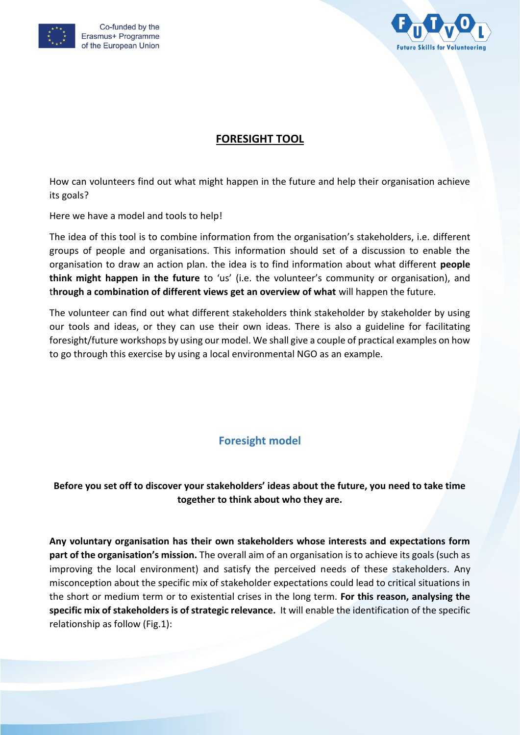



# **FORESIGHT TOOL**

How can volunteers find out what might happen in the future and help their organisation achieve its goals?

Here we have a model and tools to help!

The idea of this tool is to combine information from the organisation's stakeholders, i.e. different groups of people and organisations. This information should set of a discussion to enable the organisation to draw an action plan. the idea is to find information about what different **people think might happen in the future** to 'us' (i.e. the volunteer's community or organisation), and t**hrough a combination of different views get an overview of what** will happen the future.

The volunteer can find out what different stakeholders think stakeholder by stakeholder by using our tools and ideas, or they can use their own ideas. There is also a guideline for facilitating foresight/future workshops by using our model. We shall give a couple of practical examples on how to go through this exercise by using a local environmental NGO as an example.

# **Foresight model**

# **Before you set off to discover your stakeholders' ideas about the future, you need to take time together to think about who they are.**

**Any voluntary organisation has their own stakeholders whose interests and expectations form part of the organisation's mission.** The overall aim of an organisation is to achieve its goals (such as improving the local environment) and satisfy the perceived needs of these stakeholders. Any misconception about the specific mix of stakeholder expectations could lead to critical situations in the short or medium term or to existential crises in the long term. **For this reason, analysing the specific mix of stakeholders is of strategic relevance.** It will enable the identification of the specific relationship as follow (Fig.1):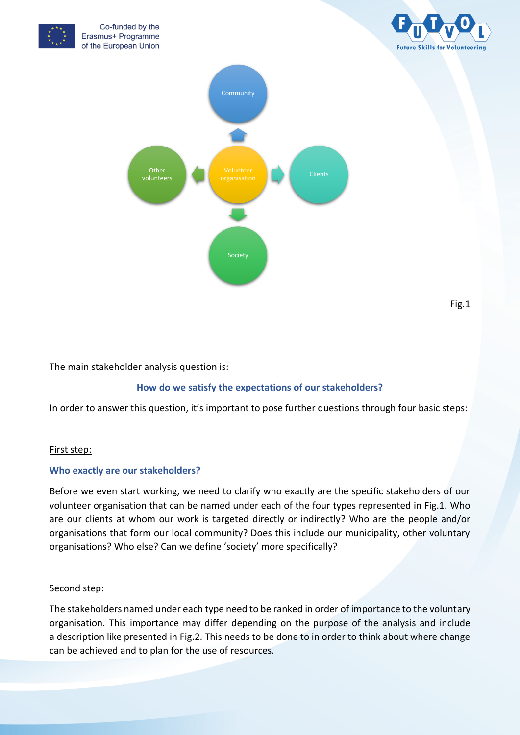

The main stakeholder analysis question is:

# **How do we satisfy the expectations of our stakeholders?**

In order to answer this question, it's important to pose further questions through four basic steps:

## First step:

## **Who exactly are our stakeholders?**

Before we even start working, we need to clarify who exactly are the specific stakeholders of our volunteer organisation that can be named under each of the four types represented in Fig.1. Who are our clients at whom our work is targeted directly or indirectly? Who are the people and/or organisations that form our local community? Does this include our municipality, other voluntary organisations? Who else? Can we define 'society' more specifically?

## Second step:

The stakeholders named under each type need to be ranked in order of importance to the voluntary organisation. This importance may differ depending on the purpose of the analysis and include a description like presented in Fig.2. This needs to be done to in order to think about where change can be achieved and to plan for the use of resources.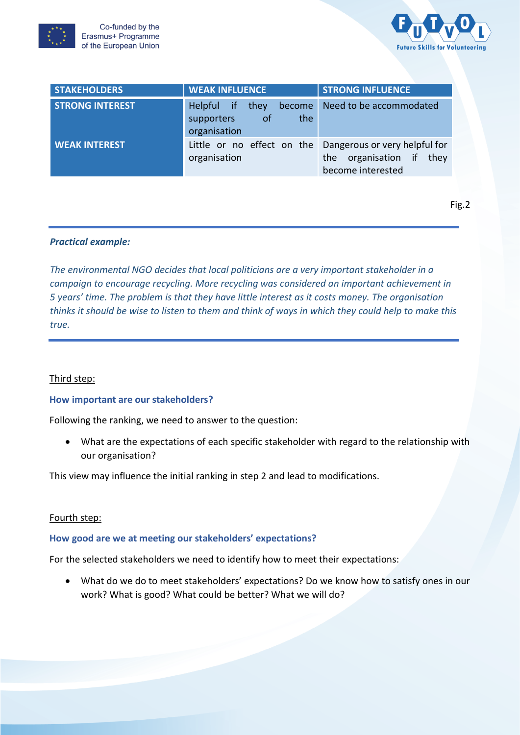



| <b>STAKEHOLDERS</b>    | <b>WEAK INFLUENCE</b>                                                   | <b>STRONG INFLUENCE</b>                                                                                      |
|------------------------|-------------------------------------------------------------------------|--------------------------------------------------------------------------------------------------------------|
| <b>STRONG INTEREST</b> | Helpful if<br>they<br>become<br>of<br>the<br>supporters<br>organisation | Need to be accommodated                                                                                      |
| <b>WEAK INTEREST</b>   | organisation                                                            | Little or no effect on the Dangerous or very helpful for<br>the organisation if<br>thev<br>become interested |

Fig.2

## *Practical example:*

*The environmental NGO decides that local politicians are a very important stakeholder in a campaign to encourage recycling. More recycling was considered an important achievement in 5 years' time. The problem is that they have little interest as it costs money. The organisation thinks it should be wise to listen to them and think of ways in which they could help to make this true.*

#### Third step:

#### **How important are our stakeholders?**

Following the ranking, we need to answer to the question:

 What are the expectations of each specific stakeholder with regard to the relationship with our organisation?

This view may influence the initial ranking in step 2 and lead to modifications.

#### Fourth step:

#### **How good are we at meeting our stakeholders' expectations?**

For the selected stakeholders we need to identify how to meet their expectations:

 What do we do to meet stakeholders' expectations? Do we know how to satisfy ones in our work? What is good? What could be better? What we will do?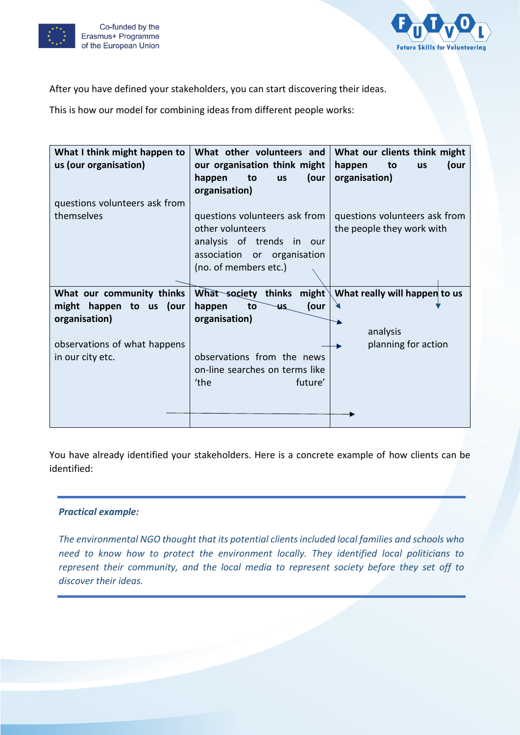



After you have defined your stakeholders, you can start discovering their ideas.

This is how our model for combining ideas from different people works:

| What I think might happen to  | What other volunteers and             | What our clients think might      |
|-------------------------------|---------------------------------------|-----------------------------------|
| us (our organisation)         | our organisation think might          | happen<br>to<br>(our<br><b>us</b> |
|                               | to<br>happen<br>(our<br><b>us</b>     | organisation)                     |
|                               | organisation)                         |                                   |
| questions volunteers ask from |                                       |                                   |
| themselves                    | questions volunteers ask from         | questions volunteers ask from     |
|                               | other volunteers                      | the people they work with         |
|                               | analysis of trends in our             |                                   |
|                               | association or organisation           |                                   |
|                               | (no. of members etc.)                 |                                   |
|                               |                                       |                                   |
| What our community thinks     | What society thinks might $\parallel$ | What really will happen to us     |
| might happen to us (our       | (our<br>happen<br>to<br><b>US</b>     |                                   |
| organisation)                 | organisation)                         |                                   |
|                               |                                       | analysis                          |
| observations of what happens  |                                       | planning for action               |
| in our city etc.              | observations from the news            |                                   |
|                               | on-line searches on terms like        |                                   |
|                               | 'the<br>future'                       |                                   |
|                               |                                       |                                   |
|                               |                                       |                                   |
|                               |                                       |                                   |

You have already identified your stakeholders. Here is a concrete example of how clients can be identified:

# *Practical example:*

*The environmental NGO thought that its potential clients included local families and schools who need to know how to protect the environment locally. They identified local politicians to represent their community, and the local media to represent society before they set off to discover their ideas.*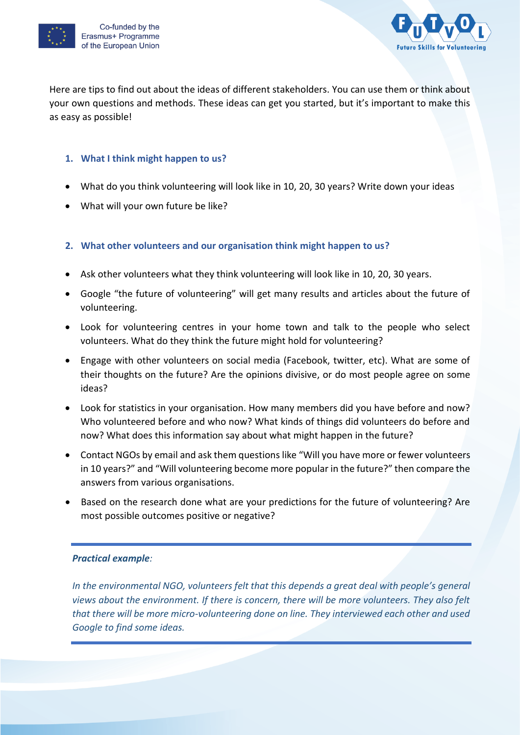



Here are tips to find out about the ideas of different stakeholders. You can use them or think about your own questions and methods. These ideas can get you started, but it's important to make this as easy as possible!

# **1. What I think might happen to us?**

- What do you think volunteering will look like in 10, 20, 30 years? Write down your ideas
- What will your own future be like?

# **2. What other volunteers and our organisation think might happen to us?**

- Ask other volunteers what they think volunteering will look like in 10, 20, 30 years.
- Google "the future of volunteering" will get many results and articles about the future of volunteering.
- Look for volunteering centres in your home town and talk to the people who select volunteers. What do they think the future might hold for volunteering?
- Engage with other volunteers on social media (Facebook, twitter, etc). What are some of their thoughts on the future? Are the opinions divisive, or do most people agree on some ideas?
- Look for statistics in your organisation. How many members did you have before and now? Who volunteered before and who now? What kinds of things did volunteers do before and now? What does this information say about what might happen in the future?
- Contact NGOs by email and ask them questions like "Will you have more or fewer volunteers in 10 years?" and "Will volunteering become more popular in the future?" then compare the answers from various organisations.
- Based on the research done what are your predictions for the future of volunteering? Are most possible outcomes positive or negative?

# *Practical example:*

*In the environmental NGO, volunteers felt that this depends a great deal with people's general views about the environment. If there is concern, there will be more volunteers. They also felt that there will be more micro-volunteering done on line. They interviewed each other and used Google to find some ideas.*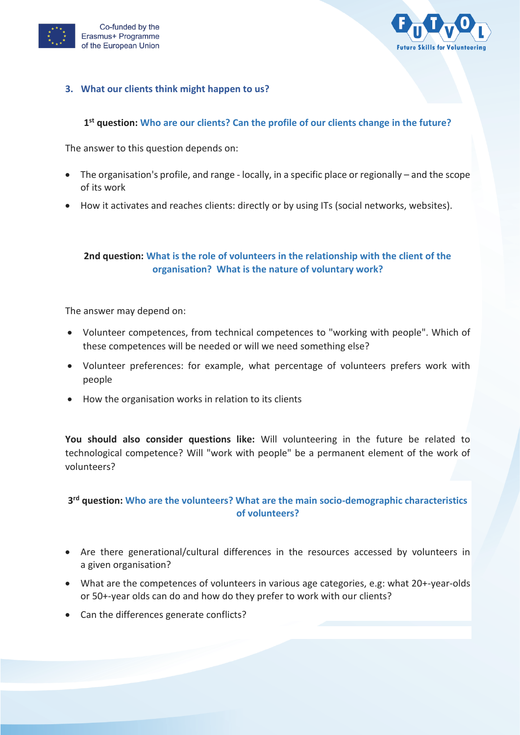



## **3. What our clients think might happen to us?**

# **1 st question: Who are our clients? Can the profile of our clients change in the future?**

The answer to this question depends on:

- The organisation's profile, and range locally, in a specific place or regionally and the scope of its work
- How it activates and reaches clients: directly or by using ITs (social networks, websites).

# **2nd question: What is the role of volunteers in the relationship with the client of the organisation? What is the nature of voluntary work?**

The answer may depend on:

- Volunteer competences, from technical competences to "working with people". Which of these competences will be needed or will we need something else?
- Volunteer preferences: for example, what percentage of volunteers prefers work with people
- How the organisation works in relation to its clients

**You should also consider questions like:** Will volunteering in the future be related to technological competence? Will "work with people" be a permanent element of the work of volunteers?

# **3 rd question: Who are the volunteers? What are the main socio-demographic characteristics of volunteers?**

- Are there generational/cultural differences in the resources accessed by volunteers in a given organisation?
- What are the competences of volunteers in various age categories, e.g: what 20+-year-olds or 50+-year olds can do and how do they prefer to work with our clients?
- Can the differences generate conflicts?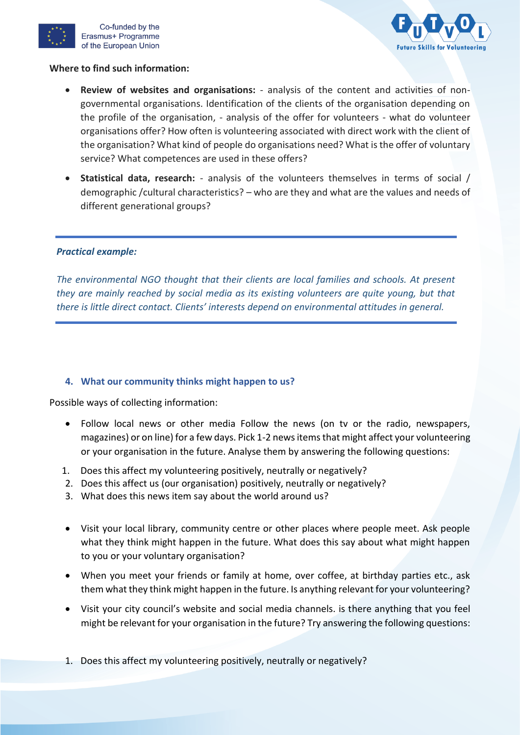



## **Where to find such information:**

- **Review of websites and organisations:** analysis of the content and activities of nongovernmental organisations. Identification of the clients of the organisation depending on the profile of the organisation, - analysis of the offer for volunteers - what do volunteer organisations offer? How often is volunteering associated with direct work with the client of the organisation? What kind of people do organisations need? What is the offer of voluntary service? What competences are used in these offers?
- **Statistical data, research:** analysis of the volunteers themselves in terms of social / demographic /cultural characteristics? – who are they and what are the values and needs of different generational groups?

## *Practical example:*

*The environmental NGO thought that their clients are local families and schools. At present they are mainly reached by social media as its existing volunteers are quite young, but that there is little direct contact. Clients' interests depend on environmental attitudes in general.*

## **4. What our community thinks might happen to us?**

Possible ways of collecting information:

- Follow local news or other media Follow the news (on tv or the radio, newspapers, magazines) or on line) for a few days. Pick 1-2 news items that might affect your volunteering or your organisation in the future. Analyse them by answering the following questions:
- 1. Does this affect my volunteering positively, neutrally or negatively?
- 2. Does this affect us (our organisation) positively, neutrally or negatively?
- 3. What does this news item say about the world around us?
- Visit your local library, community centre or other places where people meet. Ask people what they think might happen in the future. What does this say about what might happen to you or your voluntary organisation?
- When you meet your friends or family at home, over coffee, at birthday parties etc., ask them what they think might happen in the future. Is anything relevant for your volunteering?
- Visit your city council's website and social media channels. is there anything that you feel might be relevant for your organisation in the future? Try answering the following questions:
- 1. Does this affect my volunteering positively, neutrally or negatively?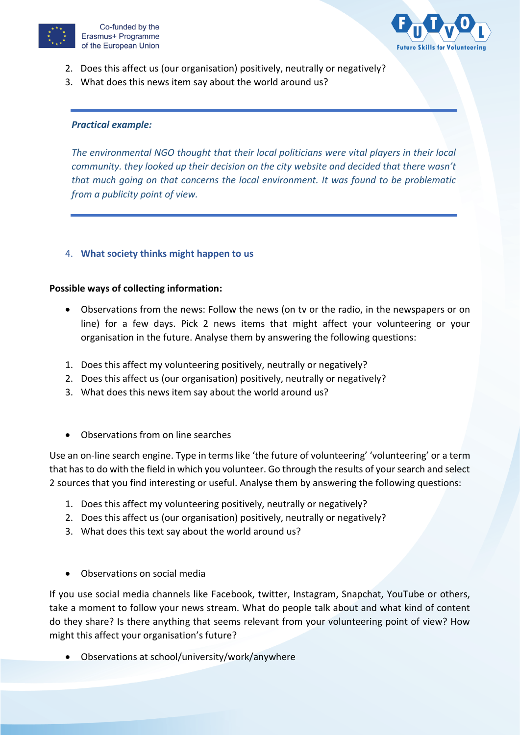



- 2. Does this affect us (our organisation) positively, neutrally or negatively?
- 3. What does this news item say about the world around us?

#### *Practical example:*

*The environmental NGO thought that their local politicians were vital players in their local community. they looked up their decision on the city website and decided that there wasn't that much going on that concerns the local environment. It was found to be problematic from a publicity point of view.*

## 4. **What society thinks might happen to us**

#### **Possible ways of collecting information:**

- Observations from the news: Follow the news (on tv or the radio, in the newspapers or on line) for a few days. Pick 2 news items that might affect your volunteering or your organisation in the future. Analyse them by answering the following questions:
- 1. Does this affect my volunteering positively, neutrally or negatively?
- 2. Does this affect us (our organisation) positively, neutrally or negatively?
- 3. What does this news item say about the world around us?
- Observations from on line searches

Use an on-line search engine. Type in terms like 'the future of volunteering' 'volunteering' or a term that has to do with the field in which you volunteer. Go through the results of your search and select 2 sources that you find interesting or useful. Analyse them by answering the following questions:

- 1. Does this affect my volunteering positively, neutrally or negatively?
- 2. Does this affect us (our organisation) positively, neutrally or negatively?
- 3. What does this text say about the world around us?
- Observations on social media

If you use social media channels like Facebook, twitter, Instagram, Snapchat, YouTube or others, take a moment to follow your news stream. What do people talk about and what kind of content do they share? Is there anything that seems relevant from your volunteering point of view? How might this affect your organisation's future?

Observations at school/university/work/anywhere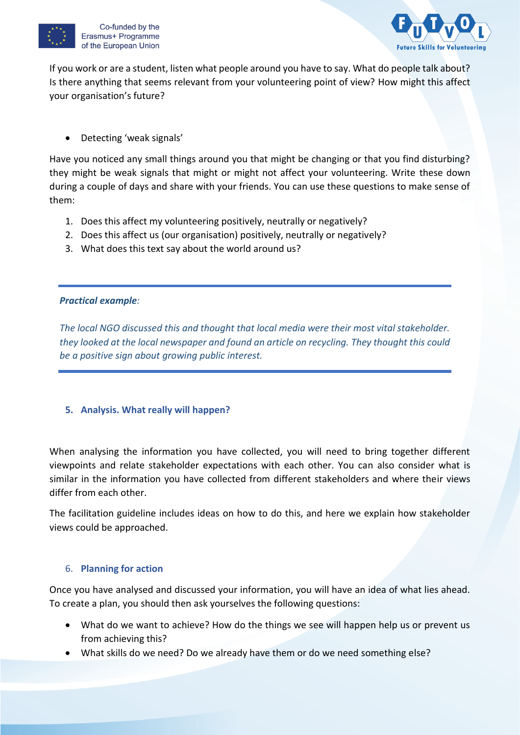



If you work or are a student, listen what people around you have to say. What do people talk about? Is there anything that seems relevant from your volunteering point of view? How might this affect your organisation's future?

Detecting 'weak signals'

Have you noticed any small things around you that might be changing or that you find disturbing? they might be weak signals that might or might not affect your volunteering. Write these down during a couple of days and share with your friends. You can use these questions to make sense of them:

- 1. Does this affect my volunteering positively, neutrally or negatively?
- 2. Does this affect us (our organisation) positively, neutrally or negatively?
- 3. What does this text say about the world around us?

# *Practical example:*

*The local NGO discussed this and thought that local media were their most vital stakeholder. they looked at the local newspaper and found an article on recycling. They thought this could be a positive sign about growing public interest.*

# **5. Analysis. What really will happen?**

When analysing the information you have collected, you will need to bring together different viewpoints and relate stakeholder expectations with each other. You can also consider what is similar in the information you have collected from different stakeholders and where their views differ from each other.

The facilitation guideline includes ideas on how to do this, and here we explain how stakeholder views could be approached.

# 6. **Planning for action**

Once you have analysed and discussed your information, you will have an idea of what lies ahead. To create a plan, you should then ask yourselves the following questions:

- What do we want to achieve? How do the things we see will happen help us or prevent us from achieving this?
- What skills do we need? Do we already have them or do we need something else?